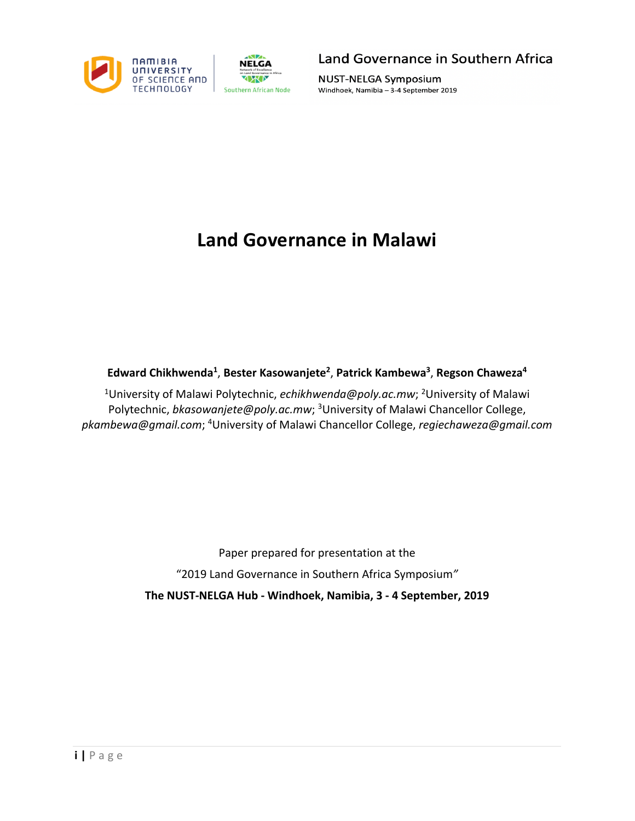



Land Governance in Southern Africa

**NUST-NELGA Symposium** Windhoek, Namibia - 3-4 September 2019

## **Land Governance in Malawi**

## **Edward Chikhwenda1** , **Bester Kasowanjete2** , **Patrick Kambewa3** , **Regson Chaweza4**

<sup>1</sup>University of Malawi Polytechnic, echikhwenda@poly.ac.mw; <sup>2</sup>University of Malawi Polytechnic, bkasowanjete@poly.ac.mw; <sup>3</sup>University of Malawi Chancellor College, *pkambewa@gmail.com*; 4 University of Malawi Chancellor College, *regiechaweza@gmail.com*

> Paper prepared for presentation at the "2019 Land Governance in Southern Africa Symposium*"* **The NUST-NELGA Hub - Windhoek, Namibia, 3 - 4 September, 2019**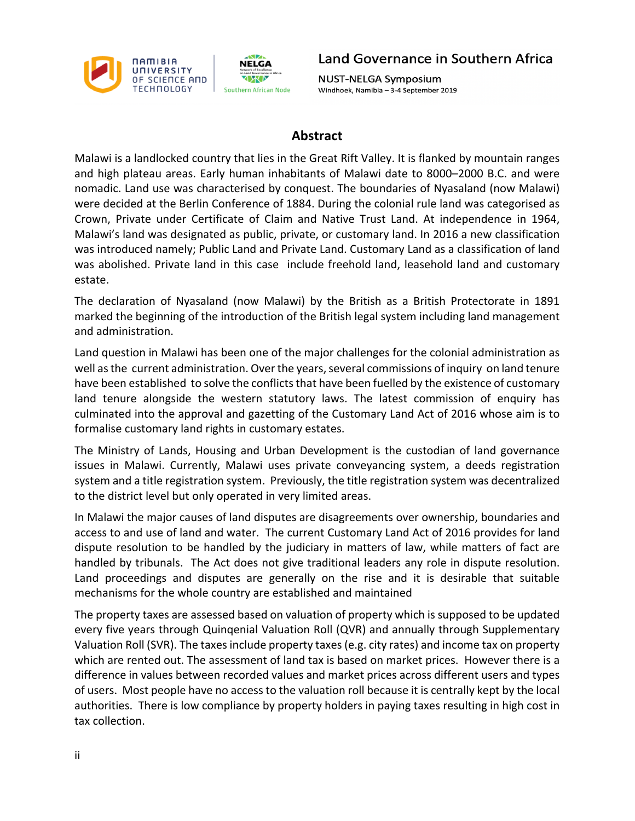

Land Governance in Southern Africa

**NUST-NELGA Symposium** Windhoek, Namibia - 3-4 September 2019

## **Abstract**

Malawi is a landlocked country that lies in the Great Rift Valley. It is flanked by mountain ranges and high plateau areas. Early human inhabitants of Malawi date to 8000–2000 B.C. and were nomadic. Land use was characterised by conquest. The boundaries of Nyasaland (now Malawi) were decided at the Berlin Conference of 1884. During the colonial rule land was categorised as Crown, Private under Certificate of Claim and Native Trust Land. At independence in 1964, Malawi's land was designated as public, private, or customary land. In 2016 a new classification was introduced namely; Public Land and Private Land. Customary Land as a classification of land was abolished. Private land in this case include freehold land, leasehold land and customary estate.

The declaration of Nyasaland (now Malawi) by the British as a British Protectorate in 1891 marked the beginning of the introduction of the British legal system including land management and administration.

Land question in Malawi has been one of the major challenges for the colonial administration as well as the current administration. Over the years, several commissions of inquiry on land tenure have been established to solve the conflicts that have been fuelled by the existence of customary land tenure alongside the western statutory laws. The latest commission of enquiry has culminated into the approval and gazetting of the Customary Land Act of 2016 whose aim is to formalise customary land rights in customary estates.

The Ministry of Lands, Housing and Urban Development is the custodian of land governance issues in Malawi. Currently, Malawi uses private conveyancing system, a deeds registration system and a title registration system. Previously, the title registration system was decentralized to the district level but only operated in very limited areas.

In Malawi the major causes of land disputes are disagreements over ownership, boundaries and access to and use of land and water. The current Customary Land Act of 2016 provides for land dispute resolution to be handled by the judiciary in matters of law, while matters of fact are handled by tribunals. The Act does not give traditional leaders any role in dispute resolution. Land proceedings and disputes are generally on the rise and it is desirable that suitable mechanisms for the whole country are established and maintained

The property taxes are assessed based on valuation of property which is supposed to be updated every five years through Quinqenial Valuation Roll (QVR) and annually through Supplementary Valuation Roll (SVR). The taxes include property taxes (e.g. city rates) and income tax on property which are rented out. The assessment of land tax is based on market prices. However there is a difference in values between recorded values and market prices across different users and types of users. Most people have no access to the valuation roll because it is centrally kept by the local authorities. There is low compliance by property holders in paying taxes resulting in high cost in tax collection.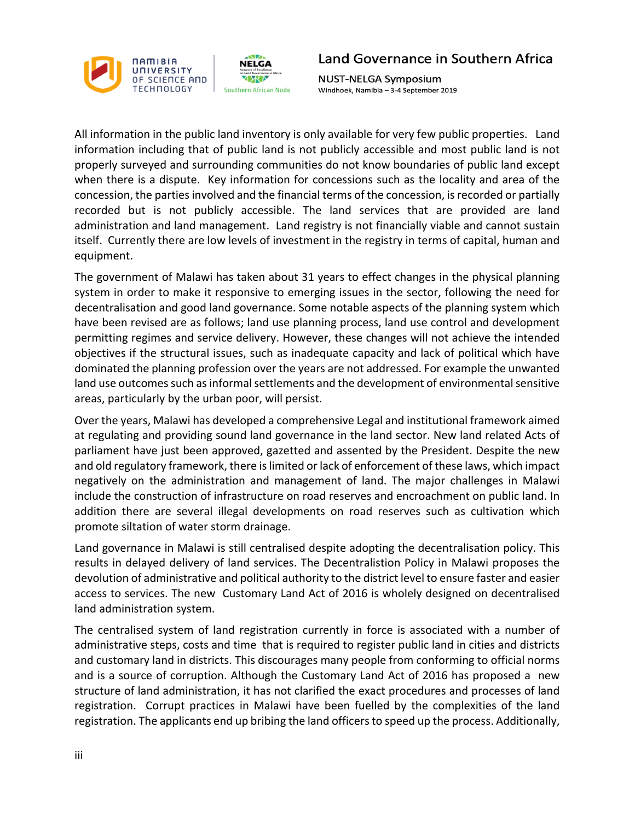



**NUST-NELGA Symposium** Windhoek, Namibia - 3-4 September 2019

All information in the public land inventory is only available for very few public properties. Land information including that of public land is not publicly accessible and most public land is not properly surveyed and surrounding communities do not know boundaries of public land except when there is a dispute. Key information for concessions such as the locality and area of the concession, the parties involved and the financial terms of the concession, is recorded or partially recorded but is not publicly accessible. The land services that are provided are land administration and land management. Land registry is not financially viable and cannot sustain itself. Currently there are low levels of investment in the registry in terms of capital, human and equipment.

The government of Malawi has taken about 31 years to effect changes in the physical planning system in order to make it responsive to emerging issues in the sector, following the need for decentralisation and good land governance. Some notable aspects of the planning system which have been revised are as follows; land use planning process, land use control and development permitting regimes and service delivery. However, these changes will not achieve the intended objectives if the structural issues, such as inadequate capacity and lack of political which have dominated the planning profession over the years are not addressed. For example the unwanted land use outcomes such as informal settlements and the development of environmental sensitive areas, particularly by the urban poor, will persist.

Over the years, Malawi has developed a comprehensive Legal and institutional framework aimed at regulating and providing sound land governance in the land sector. New land related Acts of parliament have just been approved, gazetted and assented by the President. Despite the new and old regulatory framework, there is limited or lack of enforcement of these laws, which impact negatively on the administration and management of land. The major challenges in Malawi include the construction of infrastructure on road reserves and encroachment on public land. In addition there are several illegal developments on road reserves such as cultivation which promote siltation of water storm drainage.

Land governance in Malawi is still centralised despite adopting the decentralisation policy. This results in delayed delivery of land services. The Decentralistion Policy in Malawi proposes the devolution of administrative and political authority to the district level to ensure faster and easier access to services. The new Customary Land Act of 2016 is wholely designed on decentralised land administration system.

The centralised system of land registration currently in force is associated with a number of administrative steps, costs and time that is required to register public land in cities and districts and customary land in districts. This discourages many people from conforming to official norms and is a source of corruption. Although the Customary Land Act of 2016 has proposed a new structure of land administration, it has not clarified the exact procedures and processes of land registration. Corrupt practices in Malawi have been fuelled by the complexities of the land registration. The applicants end up bribing the land officers to speed up the process. Additionally,